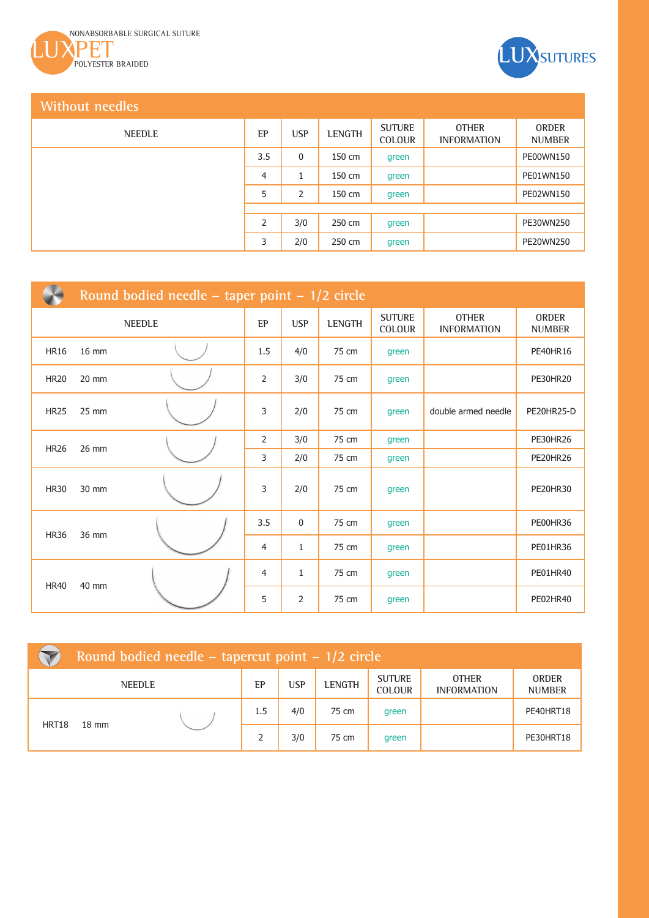



## **Without needles**

| NEEDLE | EP             | <b>USP</b> | <b>LENGTH</b> | <b>SUTURE</b><br><b>COLOUR</b> | <b>OTHER</b><br><b>INFORMATION</b> | <b>ORDER</b><br><b>NUMBER</b> |
|--------|----------------|------------|---------------|--------------------------------|------------------------------------|-------------------------------|
|        | 3.5            | 0          | 150 cm        | green                          |                                    | PE00WN150                     |
|        | $\overline{4}$ | 1          | 150 cm        | green                          |                                    | PE01WN150                     |
|        | 5              | 2          | 150 cm        | green                          |                                    | PE02WN150                     |
|        |                |            |               |                                |                                    |                               |
|        | $\overline{2}$ | 3/0        | 250 cm        | green                          |                                    | PE30WN250                     |
|        | 3              | 2/0        | 250 cm        | green                          |                                    | PE20WN250                     |

|             | Round bodied needle – taper point – $1/2$ circle |  |                |              |        |                                |                                    |                        |  |  |  |  |
|-------------|--------------------------------------------------|--|----------------|--------------|--------|--------------------------------|------------------------------------|------------------------|--|--|--|--|
| NEEDLE      |                                                  |  | EP             | <b>USP</b>   | LENGTH | <b>SUTURE</b><br><b>COLOUR</b> | <b>OTHER</b><br><b>INFORMATION</b> | ORDER<br><b>NUMBER</b> |  |  |  |  |
| <b>HR16</b> | 16 mm                                            |  | 1.5            | 4/0          | 75 cm  | green                          |                                    | <b>PE40HR16</b>        |  |  |  |  |
| <b>HR20</b> | 20 mm                                            |  | 2              | 3/0          | 75 cm  | green                          |                                    | <b>PE30HR20</b>        |  |  |  |  |
| <b>HR25</b> | 25 mm                                            |  | 3              | 2/0          | 75 cm  | green                          | double armed needle                | PE20HR25-D             |  |  |  |  |
| <b>HR26</b> | 26 mm                                            |  | 2              | 3/0          | 75 cm  | green                          |                                    | PE30HR26               |  |  |  |  |
|             |                                                  |  | 3              | 2/0          | 75 cm  | green                          |                                    | <b>PE20HR26</b>        |  |  |  |  |
| <b>HR30</b> | 30 mm                                            |  | 3              | 2/0          | 75 cm  | green                          |                                    | <b>PE20HR30</b>        |  |  |  |  |
|             | 36 mm                                            |  | 3.5            | $\mathbf 0$  | 75 cm  | green                          |                                    | PE00HR36               |  |  |  |  |
| <b>HR36</b> |                                                  |  | $\overline{4}$ | $\mathbf{1}$ | 75 cm  | green                          |                                    | <b>PE01HR36</b>        |  |  |  |  |
| <b>HR40</b> | 40 mm                                            |  | 4              | $\mathbf{1}$ | 75 cm  | green                          |                                    | PE01HR40               |  |  |  |  |
|             |                                                  |  | 5              | 2            | 75 cm  | green                          |                                    | PE02HR40               |  |  |  |  |

|       | Round bodied needle – tapercut point – $1/2$ circle |               |     |            |               |                                |                                    |                               |  |  |
|-------|-----------------------------------------------------|---------------|-----|------------|---------------|--------------------------------|------------------------------------|-------------------------------|--|--|
|       |                                                     | <b>NEEDLE</b> | EP  | <b>USP</b> | <b>LENGTH</b> | <b>SUTURE</b><br><b>COLOUR</b> | <b>OTHER</b><br><b>INFORMATION</b> | <b>ORDER</b><br><b>NUMBER</b> |  |  |
| HRT18 | $18 \text{ mm}$                                     |               | 1.5 | 4/0        | 75 cm         | green                          |                                    | PE40HRT18                     |  |  |
|       |                                                     |               |     | 3/0        | 75 cm         | green                          |                                    | PE30HRT18                     |  |  |